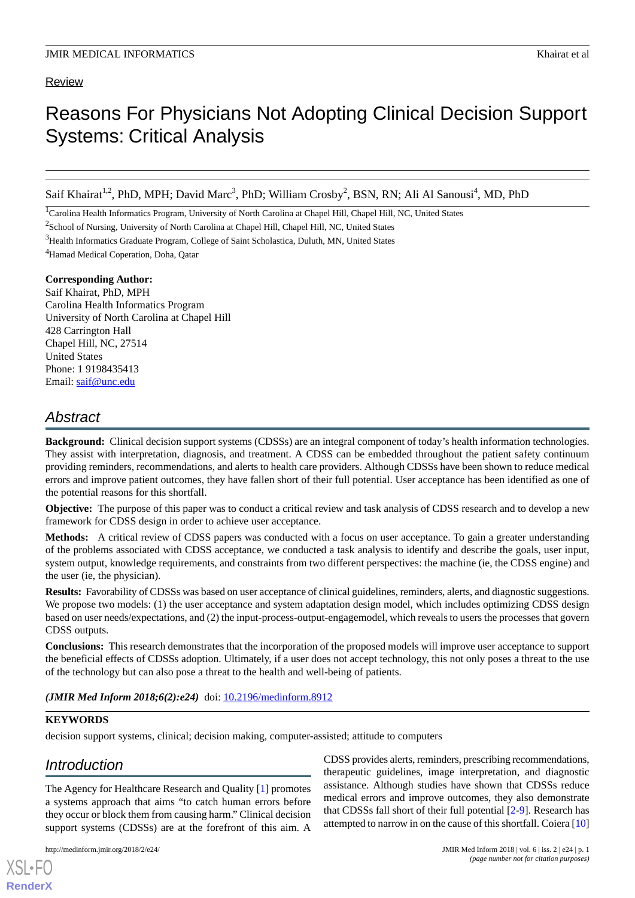# Review

# Reasons For Physicians Not Adopting Clinical Decision Support Systems: Critical Analysis

Saif Khairat<sup>1,2</sup>, PhD, MPH; David Marc<sup>3</sup>, PhD; William Crosby<sup>2</sup>, BSN, RN; Ali Al Sanousi<sup>4</sup>, MD, PhD

<sup>1</sup>Carolina Health Informatics Program, University of North Carolina at Chapel Hill, Chapel Hill, NC, United States

<sup>2</sup>School of Nursing, University of North Carolina at Chapel Hill, Chapel Hill, NC, United States

<sup>3</sup>Health Informatics Graduate Program, College of Saint Scholastica, Duluth, MN, United States

<sup>4</sup>Hamad Medical Coperation, Doha, Qatar

### **Corresponding Author:**

Saif Khairat, PhD, MPH Carolina Health Informatics Program University of North Carolina at Chapel Hill 428 Carrington Hall Chapel Hill, NC, 27514 United States Phone: 1 9198435413 Email: [saif@unc.edu](mailto:saif@unc.edu)

# *Abstract*

**Background:** Clinical decision support systems (CDSSs) are an integral component of today's health information technologies. They assist with interpretation, diagnosis, and treatment. A CDSS can be embedded throughout the patient safety continuum providing reminders, recommendations, and alerts to health care providers. Although CDSSs have been shown to reduce medical errors and improve patient outcomes, they have fallen short of their full potential. User acceptance has been identified as one of the potential reasons for this shortfall.

**Objective:** The purpose of this paper was to conduct a critical review and task analysis of CDSS research and to develop a new framework for CDSS design in order to achieve user acceptance.

**Methods:** A critical review of CDSS papers was conducted with a focus on user acceptance. To gain a greater understanding of the problems associated with CDSS acceptance, we conducted a task analysis to identify and describe the goals, user input, system output, knowledge requirements, and constraints from two different perspectives: the machine (ie, the CDSS engine) and the user (ie, the physician).

**Results:** Favorability of CDSSs was based on user acceptance of clinical guidelines, reminders, alerts, and diagnostic suggestions. We propose two models: (1) the user acceptance and system adaptation design model, which includes optimizing CDSS design based on user needs/expectations, and (2) the input-process-output-engagemodel, which reveals to users the processes that govern CDSS outputs.

**Conclusions:** This research demonstrates that the incorporation of the proposed models will improve user acceptance to support the beneficial effects of CDSSs adoption. Ultimately, if a user does not accept technology, this not only poses a threat to the use of the technology but can also pose a threat to the health and well-being of patients.

(JMIR Med Inform 2018;6(2):e24) doi: [10.2196/medinform.8912](http://dx.doi.org/10.2196/medinform.8912)

# **KEYWORDS**

decision support systems, clinical; decision making, computer-assisted; attitude to computers

# *Introduction*

[XSL](http://www.w3.org/Style/XSL)•FO **[RenderX](http://www.renderx.com/)**

The Agency for Healthcare Research and Quality [[1\]](#page-7-0) promotes a systems approach that aims "to catch human errors before they occur or block them from causing harm." Clinical decision support systems (CDSSs) are at the forefront of this aim. A

CDSS provides alerts, reminders, prescribing recommendations, therapeutic guidelines, image interpretation, and diagnostic assistance. Although studies have shown that CDSSs reduce medical errors and improve outcomes, they also demonstrate that CDSSs fall short of their full potential [[2-](#page-7-1)[9](#page-7-2)]. Research has attempted to narrow in on the cause of this shortfall. Coiera [[10\]](#page-7-3)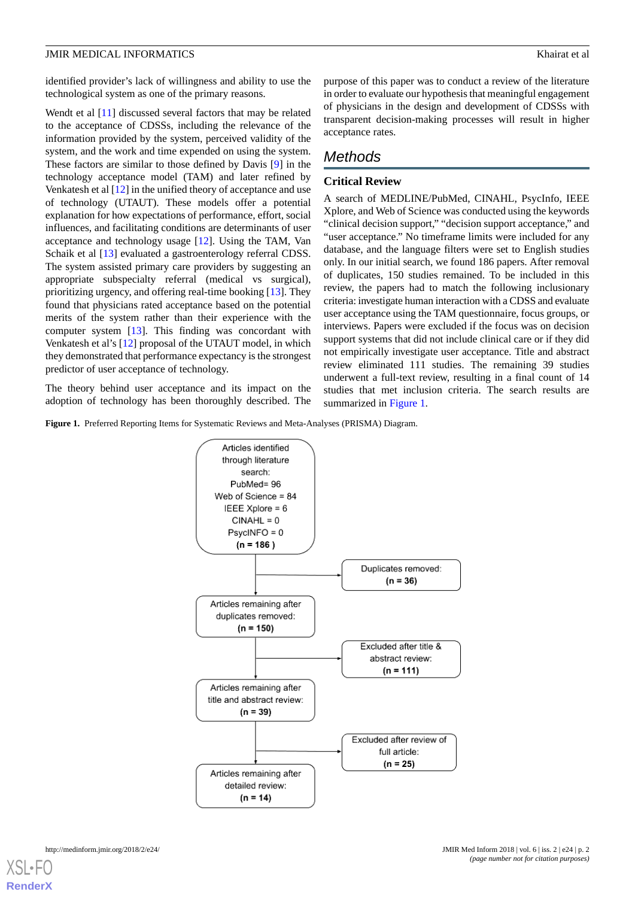identified provider's lack of willingness and ability to use the technological system as one of the primary reasons.

Wendt et al [\[11](#page-7-4)] discussed several factors that may be related to the acceptance of CDSSs, including the relevance of the information provided by the system, perceived validity of the system, and the work and time expended on using the system. These factors are similar to those defined by Davis [[9\]](#page-7-2) in the technology acceptance model (TAM) and later refined by Venkatesh et al [[12\]](#page-7-5) in the unified theory of acceptance and use of technology (UTAUT). These models offer a potential explanation for how expectations of performance, effort, social influences, and facilitating conditions are determinants of user acceptance and technology usage [[12\]](#page-7-5). Using the TAM, Van Schaik et al [[13\]](#page-7-6) evaluated a gastroenterology referral CDSS. The system assisted primary care providers by suggesting an appropriate subspecialty referral (medical vs surgical), prioritizing urgency, and offering real-time booking [\[13](#page-7-6)]. They found that physicians rated acceptance based on the potential merits of the system rather than their experience with the computer system [[13\]](#page-7-6). This finding was concordant with Venkatesh et al's [\[12](#page-7-5)] proposal of the UTAUT model, in which they demonstrated that performance expectancy is the strongest predictor of user acceptance of technology.

<span id="page-1-0"></span>The theory behind user acceptance and its impact on the adoption of technology has been thoroughly described. The purpose of this paper was to conduct a review of the literature in order to evaluate our hypothesis that meaningful engagement of physicians in the design and development of CDSSs with transparent decision-making processes will result in higher acceptance rates.

# *Methods*

# **Critical Review**

A search of MEDLINE/PubMed, CINAHL, PsycInfo, IEEE Xplore, and Web of Science was conducted using the keywords "clinical decision support," "decision support acceptance," and "user acceptance." No timeframe limits were included for any database, and the language filters were set to English studies only. In our initial search, we found 186 papers. After removal of duplicates, 150 studies remained. To be included in this review, the papers had to match the following inclusionary criteria: investigate human interaction with a CDSS and evaluate user acceptance using the TAM questionnaire, focus groups, or interviews. Papers were excluded if the focus was on decision support systems that did not include clinical care or if they did not empirically investigate user acceptance. Title and abstract review eliminated 111 studies. The remaining 39 studies underwent a full-text review, resulting in a final count of 14 studies that met inclusion criteria. The search results are summarized in [Figure 1.](#page-1-0)

**Figure 1.** Preferred Reporting Items for Systematic Reviews and Meta-Analyses (PRISMA) Diagram.

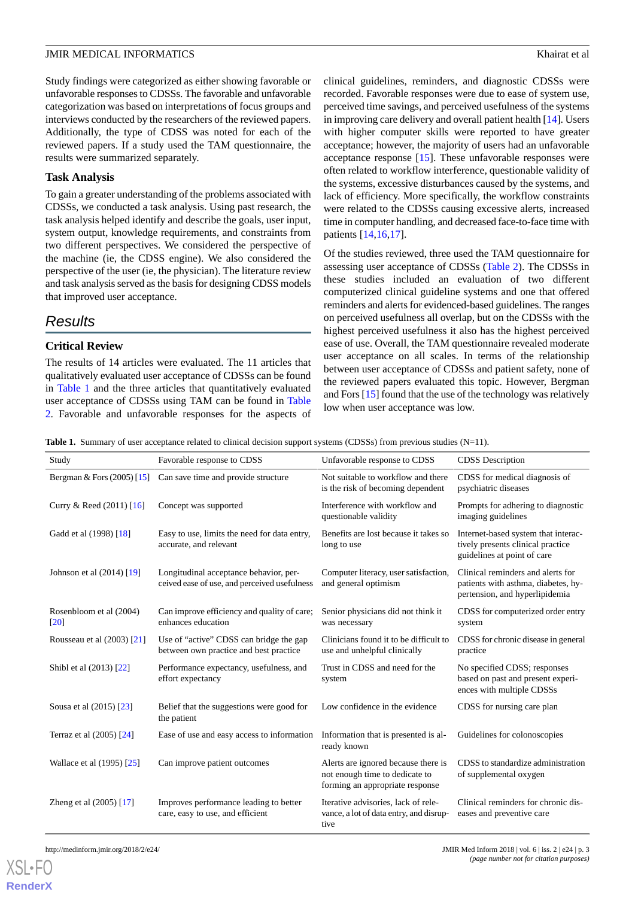Study findings were categorized as either showing favorable or unfavorable responses to CDSSs. The favorable and unfavorable categorization was based on interpretations of focus groups and interviews conducted by the researchers of the reviewed papers. Additionally, the type of CDSS was noted for each of the reviewed papers. If a study used the TAM questionnaire, the results were summarized separately.

#### **Task Analysis**

To gain a greater understanding of the problems associated with CDSSs, we conducted a task analysis. Using past research, the task analysis helped identify and describe the goals, user input, system output, knowledge requirements, and constraints from two different perspectives. We considered the perspective of the machine (ie, the CDSS engine). We also considered the perspective of the user (ie, the physician). The literature review and task analysis served as the basis for designing CDSS models that improved user acceptance.

# *Results*

# **Critical Review**

<span id="page-2-0"></span>The results of 14 articles were evaluated. The 11 articles that qualitatively evaluated user acceptance of CDSSs can be found in [Table 1](#page-2-0) and the three articles that quantitatively evaluated user acceptance of CDSSs using TAM can be found in [Table](#page-3-0) [2.](#page-3-0) Favorable and unfavorable responses for the aspects of clinical guidelines, reminders, and diagnostic CDSSs were recorded. Favorable responses were due to ease of system use, perceived time savings, and perceived usefulness of the systems in improving care delivery and overall patient health [\[14](#page-7-7)]. Users with higher computer skills were reported to have greater acceptance; however, the majority of users had an unfavorable acceptance response [\[15](#page-8-0)]. These unfavorable responses were often related to workflow interference, questionable validity of the systems, excessive disturbances caused by the systems, and lack of efficiency. More specifically, the workflow constraints were related to the CDSSs causing excessive alerts, increased time in computer handling, and decreased face-to-face time with patients [[14,](#page-7-7)[16](#page-8-1),[17\]](#page-8-2).

Of the studies reviewed, three used the TAM questionnaire for assessing user acceptance of CDSSs [\(Table 2](#page-3-0)). The CDSSs in these studies included an evaluation of two different computerized clinical guideline systems and one that offered reminders and alerts for evidenced-based guidelines. The ranges on perceived usefulness all overlap, but on the CDSSs with the highest perceived usefulness it also has the highest perceived ease of use. Overall, the TAM questionnaire revealed moderate user acceptance on all scales. In terms of the relationship between user acceptance of CDSSs and patient safety, none of the reviewed papers evaluated this topic. However, Bergman and Fors [\[15](#page-8-0)] found that the use of the technology was relatively low when user acceptance was low.

**Table 1.** Summary of user acceptance related to clinical decision support systems (CDSSs) from previous studies (N=11).

| Study                                         | Favorable response to CDSS                                                             | Unfavorable response to CDSS                                                                             | <b>CDSS</b> Description                                                                                    |
|-----------------------------------------------|----------------------------------------------------------------------------------------|----------------------------------------------------------------------------------------------------------|------------------------------------------------------------------------------------------------------------|
| Bergman & Fors $(2005)$ [15]                  | Can save time and provide structure                                                    | Not suitable to workflow and there<br>is the risk of becoming dependent                                  | CDSS for medical diagnosis of<br>psychiatric diseases                                                      |
| Curry & Reed $(2011)$ [16]                    | Concept was supported                                                                  | Interference with workflow and<br>questionable validity                                                  | Prompts for adhering to diagnostic<br>imaging guidelines                                                   |
| Gadd et al (1998) [18]                        | Easy to use, limits the need for data entry,<br>accurate, and relevant                 | Benefits are lost because it takes so<br>long to use                                                     | Internet-based system that interac-<br>tively presents clinical practice<br>guidelines at point of care    |
| Johnson et al $(2014)$ [19]                   | Longitudinal acceptance behavior, per-<br>ceived ease of use, and perceived usefulness | Computer literacy, user satisfaction,<br>and general optimism                                            | Clinical reminders and alerts for<br>patients with asthma, diabetes, hy-<br>pertension, and hyperlipidemia |
| Rosenbloom et al (2004)<br>$\lceil 20 \rceil$ | Can improve efficiency and quality of care;<br>enhances education                      | Senior physicians did not think it<br>was necessary                                                      | CDSS for computerized order entry<br>system                                                                |
| Rousseau et al (2003) [21]                    | Use of "active" CDSS can bridge the gap<br>between own practice and best practice      | Clinicians found it to be difficult to<br>use and unhelpful clinically                                   | CDSS for chronic disease in general<br>practice                                                            |
| Shibl et al (2013) [22]                       | Performance expectancy, usefulness, and<br>effort expectancy                           | Trust in CDSS and need for the<br>system                                                                 | No specified CDSS; responses<br>based on past and present experi-<br>ences with multiple CDSSs             |
| Sousa et al (2015) [23]                       | Belief that the suggestions were good for<br>the patient                               | Low confidence in the evidence                                                                           | CDSS for nursing care plan                                                                                 |
| Terraz et al (2005) [24]                      | Ease of use and easy access to information                                             | Information that is presented is al-<br>ready known                                                      | Guidelines for colonoscopies                                                                               |
| Wallace et al (1995) [25]                     | Can improve patient outcomes                                                           | Alerts are ignored because there is<br>not enough time to dedicate to<br>forming an appropriate response | CDSS to standardize administration<br>of supplemental oxygen                                               |
| Zheng et al $(2005)$ [17]                     | Improves performance leading to better<br>care, easy to use, and efficient             | Iterative advisories, lack of rele-<br>vance, a lot of data entry, and disrup-<br>tive                   | Clinical reminders for chronic dis-<br>eases and preventive care                                           |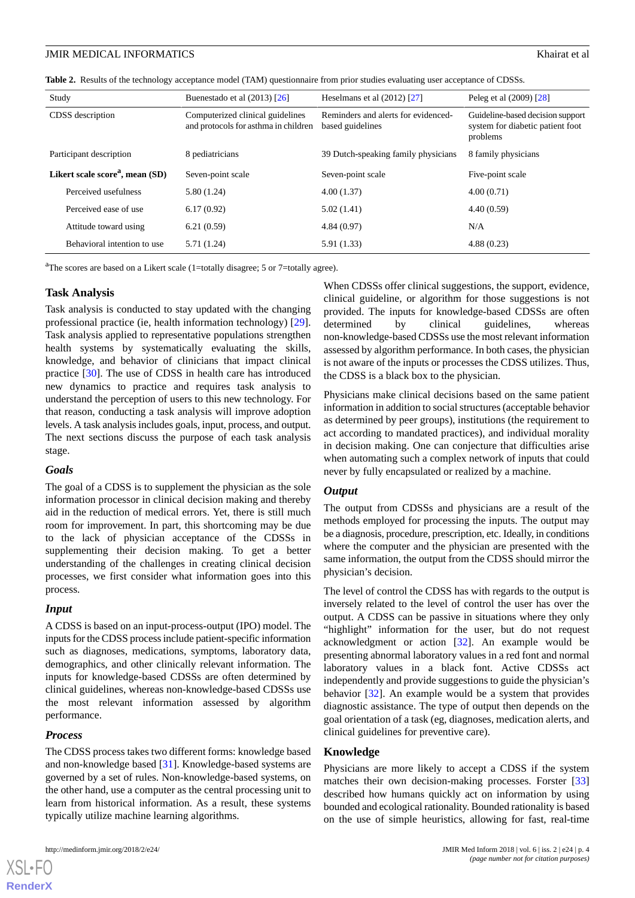<span id="page-3-0"></span>**Table 2.** Results of the technology acceptance model (TAM) questionnaire from prior studies evaluating user acceptance of CDSSs.

| Study                                       | Buenestado et al $(2013)$ [26]                                           | Heselmans et al $(2012)$ [27]                           | Peleg et al (2009) [28]                                                          |
|---------------------------------------------|--------------------------------------------------------------------------|---------------------------------------------------------|----------------------------------------------------------------------------------|
| CDSS description                            | Computerized clinical guidelines<br>and protocols for asthma in children | Reminders and alerts for evidenced-<br>based guidelines | Guideline-based decision support<br>system for diabetic patient foot<br>problems |
| Participant description                     | 8 pediatricians                                                          | 39 Dutch-speaking family physicians                     | 8 family physicians                                                              |
| Likert scale score <sup>a</sup> , mean (SD) | Seven-point scale                                                        | Seven-point scale                                       | Five-point scale                                                                 |
| Perceived usefulness                        | 5.80(1.24)                                                               | 4.00(1.37)                                              | 4.00(0.71)                                                                       |
| Perceived ease of use                       | 6.17(0.92)                                                               | 5.02(1.41)                                              | 4.40(0.59)                                                                       |
| Attitude toward using                       | 6.21(0.59)                                                               | 4.84(0.97)                                              | N/A                                                                              |
| Behavioral intention to use                 | 5.71(1.24)                                                               | 5.91 (1.33)                                             | 4.88(0.23)                                                                       |

<sup>a</sup>The scores are based on a Likert scale (1=totally disagree; 5 or 7=totally agree).

#### **Task Analysis**

Task analysis is conducted to stay updated with the changing professional practice (ie, health information technology) [[29\]](#page-8-14). Task analysis applied to representative populations strengthen health systems by systematically evaluating the skills, knowledge, and behavior of clinicians that impact clinical practice [[30\]](#page-8-15). The use of CDSS in health care has introduced new dynamics to practice and requires task analysis to understand the perception of users to this new technology. For that reason, conducting a task analysis will improve adoption levels. A task analysis includes goals, input, process, and output. The next sections discuss the purpose of each task analysis stage.

#### *Goals*

The goal of a CDSS is to supplement the physician as the sole information processor in clinical decision making and thereby aid in the reduction of medical errors. Yet, there is still much room for improvement. In part, this shortcoming may be due to the lack of physician acceptance of the CDSSs in supplementing their decision making. To get a better understanding of the challenges in creating clinical decision processes, we first consider what information goes into this process.

#### *Input*

A CDSS is based on an input-process-output (IPO) model. The inputs for the CDSS process include patient-specific information such as diagnoses, medications, symptoms, laboratory data, demographics, and other clinically relevant information. The inputs for knowledge-based CDSSs are often determined by clinical guidelines, whereas non-knowledge-based CDSSs use the most relevant information assessed by algorithm performance.

#### *Process*

The CDSS process takes two different forms: knowledge based and non-knowledge based [\[31](#page-8-16)]. Knowledge-based systems are governed by a set of rules. Non-knowledge-based systems, on the other hand, use a computer as the central processing unit to learn from historical information. As a result, these systems typically utilize machine learning algorithms.

http://medinform.jmir.org/2018/2/e24/ JMIR Med Inform 2018 | vol. 6 | iss. 2 | e24 | p. 4

When CDSSs offer clinical suggestions, the support, evidence, clinical guideline, or algorithm for those suggestions is not provided. The inputs for knowledge-based CDSSs are often determined by clinical guidelines, whereas non-knowledge-based CDSSs use the most relevant information assessed by algorithm performance. In both cases, the physician is not aware of the inputs or processes the CDSS utilizes. Thus, the CDSS is a black box to the physician.

Physicians make clinical decisions based on the same patient information in addition to social structures (acceptable behavior as determined by peer groups), institutions (the requirement to act according to mandated practices), and individual morality in decision making. One can conjecture that difficulties arise when automating such a complex network of inputs that could never by fully encapsulated or realized by a machine.

#### *Output*

The output from CDSSs and physicians are a result of the methods employed for processing the inputs. The output may be a diagnosis, procedure, prescription, etc. Ideally, in conditions where the computer and the physician are presented with the same information, the output from the CDSS should mirror the physician's decision.

The level of control the CDSS has with regards to the output is inversely related to the level of control the user has over the output. A CDSS can be passive in situations where they only "highlight" information for the user, but do not request acknowledgment or action [[32\]](#page-8-17). An example would be presenting abnormal laboratory values in a red font and normal laboratory values in a black font. Active CDSSs act independently and provide suggestions to guide the physician's behavior [[32\]](#page-8-17). An example would be a system that provides diagnostic assistance. The type of output then depends on the goal orientation of a task (eg, diagnoses, medication alerts, and clinical guidelines for preventive care).

#### **Knowledge**

Physicians are more likely to accept a CDSS if the system matches their own decision-making processes. Forster [\[33](#page-8-18)] described how humans quickly act on information by using bounded and ecological rationality. Bounded rationality is based on the use of simple heuristics, allowing for fast, real-time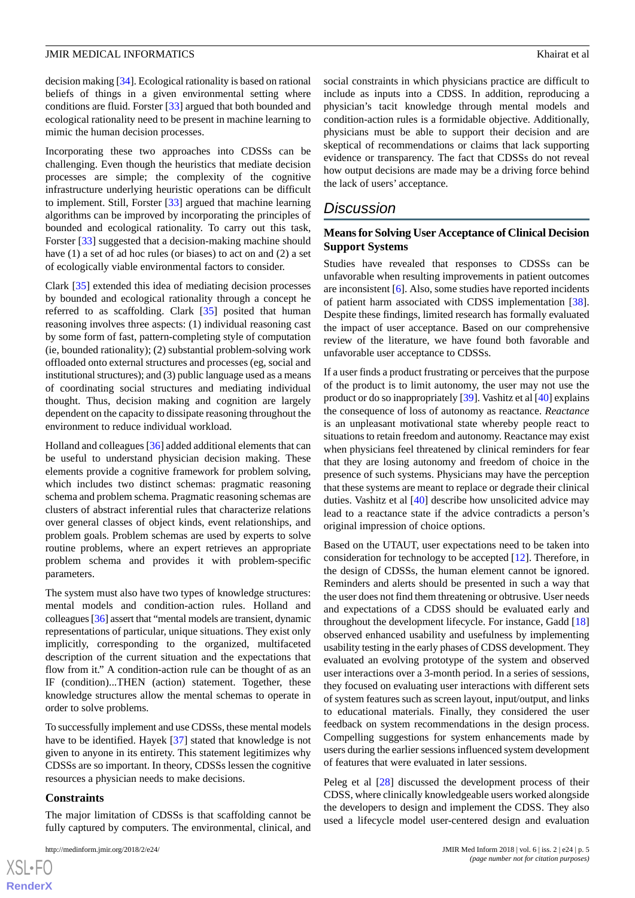decision making [\[34](#page-8-19)]. Ecological rationality is based on rational beliefs of things in a given environmental setting where conditions are fluid. Forster [\[33](#page-8-18)] argued that both bounded and ecological rationality need to be present in machine learning to mimic the human decision processes.

Incorporating these two approaches into CDSSs can be challenging. Even though the heuristics that mediate decision processes are simple; the complexity of the cognitive infrastructure underlying heuristic operations can be difficult to implement. Still, Forster [[33\]](#page-8-18) argued that machine learning algorithms can be improved by incorporating the principles of bounded and ecological rationality. To carry out this task, Forster [[33\]](#page-8-18) suggested that a decision-making machine should have (1) a set of ad hoc rules (or biases) to act on and (2) a set of ecologically viable environmental factors to consider.

Clark [[35\]](#page-8-20) extended this idea of mediating decision processes by bounded and ecological rationality through a concept he referred to as scaffolding. Clark [[35\]](#page-8-20) posited that human reasoning involves three aspects: (1) individual reasoning cast by some form of fast, pattern-completing style of computation (ie, bounded rationality); (2) substantial problem-solving work offloaded onto external structures and processes (eg, social and institutional structures); and (3) public language used as a means of coordinating social structures and mediating individual thought. Thus, decision making and cognition are largely dependent on the capacity to dissipate reasoning throughout the environment to reduce individual workload.

Holland and colleagues [\[36](#page-8-21)] added additional elements that can be useful to understand physician decision making. These elements provide a cognitive framework for problem solving, which includes two distinct schemas: pragmatic reasoning schema and problem schema. Pragmatic reasoning schemas are clusters of abstract inferential rules that characterize relations over general classes of object kinds, event relationships, and problem goals. Problem schemas are used by experts to solve routine problems, where an expert retrieves an appropriate problem schema and provides it with problem-specific parameters.

The system must also have two types of knowledge structures: mental models and condition-action rules. Holland and colleagues [[36](#page-8-21)] assert that "mental models are transient, dynamic representations of particular, unique situations. They exist only implicitly, corresponding to the organized, multifaceted description of the current situation and the expectations that flow from it." A condition-action rule can be thought of as an IF (condition)...THEN (action) statement. Together, these knowledge structures allow the mental schemas to operate in order to solve problems.

To successfully implement and use CDSSs, these mental models have to be identified. Hayek [[37\]](#page-8-22) stated that knowledge is not given to anyone in its entirety. This statement legitimizes why CDSSs are so important. In theory, CDSSs lessen the cognitive resources a physician needs to make decisions.

#### **Constraints**

The major limitation of CDSSs is that scaffolding cannot be fully captured by computers. The environmental, clinical, and

social constraints in which physicians practice are difficult to include as inputs into a CDSS. In addition, reproducing a physician's tacit knowledge through mental models and condition-action rules is a formidable objective. Additionally, physicians must be able to support their decision and are skeptical of recommendations or claims that lack supporting evidence or transparency. The fact that CDSSs do not reveal how output decisions are made may be a driving force behind the lack of users' acceptance.

# *Discussion*

#### **Means for Solving User Acceptance of Clinical Decision Support Systems**

Studies have revealed that responses to CDSSs can be unfavorable when resulting improvements in patient outcomes are inconsistent [\[6](#page-7-8)]. Also, some studies have reported incidents of patient harm associated with CDSS implementation [[38\]](#page-8-23). Despite these findings, limited research has formally evaluated the impact of user acceptance. Based on our comprehensive review of the literature, we have found both favorable and unfavorable user acceptance to CDSSs.

If a user finds a product frustrating or perceives that the purpose of the product is to limit autonomy, the user may not use the product or do so inappropriately [\[39](#page-9-0)]. Vashitz et al [[40\]](#page-9-1) explains the consequence of loss of autonomy as reactance. *Reactance* is an unpleasant motivational state whereby people react to situations to retain freedom and autonomy. Reactance may exist when physicians feel threatened by clinical reminders for fear that they are losing autonomy and freedom of choice in the presence of such systems. Physicians may have the perception that these systems are meant to replace or degrade their clinical duties. Vashitz et al [\[40](#page-9-1)] describe how unsolicited advice may lead to a reactance state if the advice contradicts a person's original impression of choice options.

Based on the UTAUT, user expectations need to be taken into consideration for technology to be accepted [[12\]](#page-7-5). Therefore, in the design of CDSSs, the human element cannot be ignored. Reminders and alerts should be presented in such a way that the user does not find them threatening or obtrusive. User needs and expectations of a CDSS should be evaluated early and throughout the development lifecycle. For instance, Gadd [\[18](#page-8-3)] observed enhanced usability and usefulness by implementing usability testing in the early phases of CDSS development. They evaluated an evolving prototype of the system and observed user interactions over a 3-month period. In a series of sessions, they focused on evaluating user interactions with different sets of system features such as screen layout, input/output, and links to educational materials. Finally, they considered the user feedback on system recommendations in the design process. Compelling suggestions for system enhancements made by users during the earlier sessions influenced system development of features that were evaluated in later sessions.

Peleg et al [[28\]](#page-8-11) discussed the development process of their CDSS, where clinically knowledgeable users worked alongside the developers to design and implement the CDSS. They also used a lifecycle model user-centered design and evaluation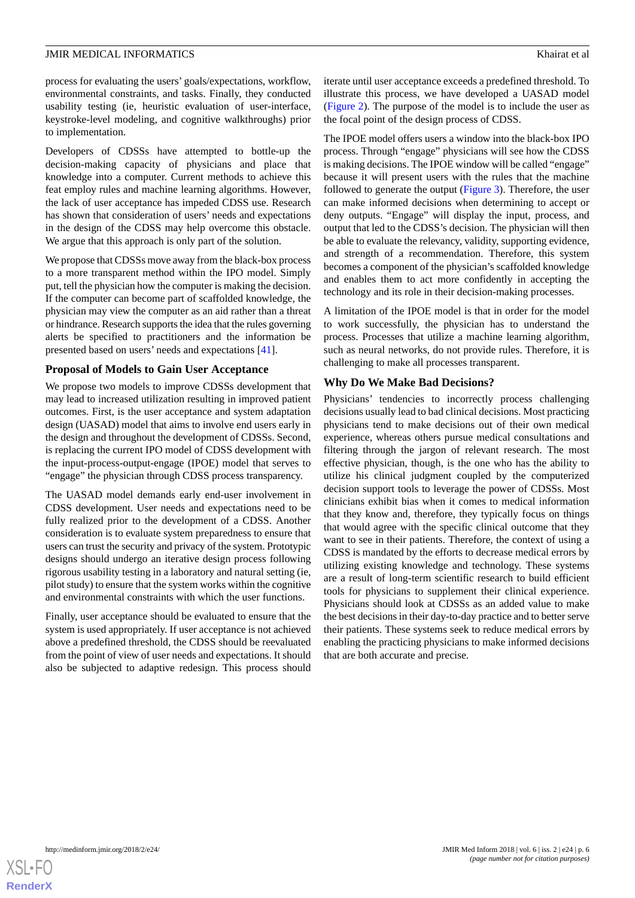process for evaluating the users' goals/expectations, workflow, environmental constraints, and tasks. Finally, they conducted usability testing (ie, heuristic evaluation of user-interface, keystroke-level modeling, and cognitive walkthroughs) prior to implementation.

Developers of CDSSs have attempted to bottle-up the decision-making capacity of physicians and place that knowledge into a computer. Current methods to achieve this feat employ rules and machine learning algorithms. However, the lack of user acceptance has impeded CDSS use. Research has shown that consideration of users' needs and expectations in the design of the CDSS may help overcome this obstacle. We argue that this approach is only part of the solution.

We propose that CDSSs move away from the black-box process to a more transparent method within the IPO model. Simply put, tell the physician how the computer is making the decision. If the computer can become part of scaffolded knowledge, the physician may view the computer as an aid rather than a threat or hindrance. Research supports the idea that the rules governing alerts be specified to practitioners and the information be presented based on users' needs and expectations [[41\]](#page-9-2).

### **Proposal of Models to Gain User Acceptance**

We propose two models to improve CDSSs development that may lead to increased utilization resulting in improved patient outcomes. First, is the user acceptance and system adaptation design (UASAD) model that aims to involve end users early in the design and throughout the development of CDSSs. Second, is replacing the current IPO model of CDSS development with the input-process-output-engage (IPOE) model that serves to "engage" the physician through CDSS process transparency.

The UASAD model demands early end-user involvement in CDSS development. User needs and expectations need to be fully realized prior to the development of a CDSS. Another consideration is to evaluate system preparedness to ensure that users can trust the security and privacy of the system. Prototypic designs should undergo an iterative design process following rigorous usability testing in a laboratory and natural setting (ie, pilot study) to ensure that the system works within the cognitive and environmental constraints with which the user functions.

Finally, user acceptance should be evaluated to ensure that the system is used appropriately. If user acceptance is not achieved above a predefined threshold, the CDSS should be reevaluated from the point of view of user needs and expectations. It should also be subjected to adaptive redesign. This process should

iterate until user acceptance exceeds a predefined threshold. To illustrate this process, we have developed a UASAD model ([Figure 2\)](#page-6-0). The purpose of the model is to include the user as the focal point of the design process of CDSS.

The IPOE model offers users a window into the black-box IPO process. Through "engage" physicians will see how the CDSS is making decisions. The IPOE window will be called "engage" because it will present users with the rules that the machine followed to generate the output ([Figure 3](#page-6-1)). Therefore, the user can make informed decisions when determining to accept or deny outputs. "Engage" will display the input, process, and output that led to the CDSS's decision. The physician will then be able to evaluate the relevancy, validity, supporting evidence, and strength of a recommendation. Therefore, this system becomes a component of the physician's scaffolded knowledge and enables them to act more confidently in accepting the technology and its role in their decision-making processes.

A limitation of the IPOE model is that in order for the model to work successfully, the physician has to understand the process. Processes that utilize a machine learning algorithm, such as neural networks, do not provide rules. Therefore, it is challenging to make all processes transparent.

### **Why Do We Make Bad Decisions?**

Physicians' tendencies to incorrectly process challenging decisions usually lead to bad clinical decisions. Most practicing physicians tend to make decisions out of their own medical experience, whereas others pursue medical consultations and filtering through the jargon of relevant research. The most effective physician, though, is the one who has the ability to utilize his clinical judgment coupled by the computerized decision support tools to leverage the power of CDSSs. Most clinicians exhibit bias when it comes to medical information that they know and, therefore, they typically focus on things that would agree with the specific clinical outcome that they want to see in their patients. Therefore, the context of using a CDSS is mandated by the efforts to decrease medical errors by utilizing existing knowledge and technology. These systems are a result of long-term scientific research to build efficient tools for physicians to supplement their clinical experience. Physicians should look at CDSSs as an added value to make the best decisions in their day-to-day practice and to better serve their patients. These systems seek to reduce medical errors by enabling the practicing physicians to make informed decisions that are both accurate and precise.

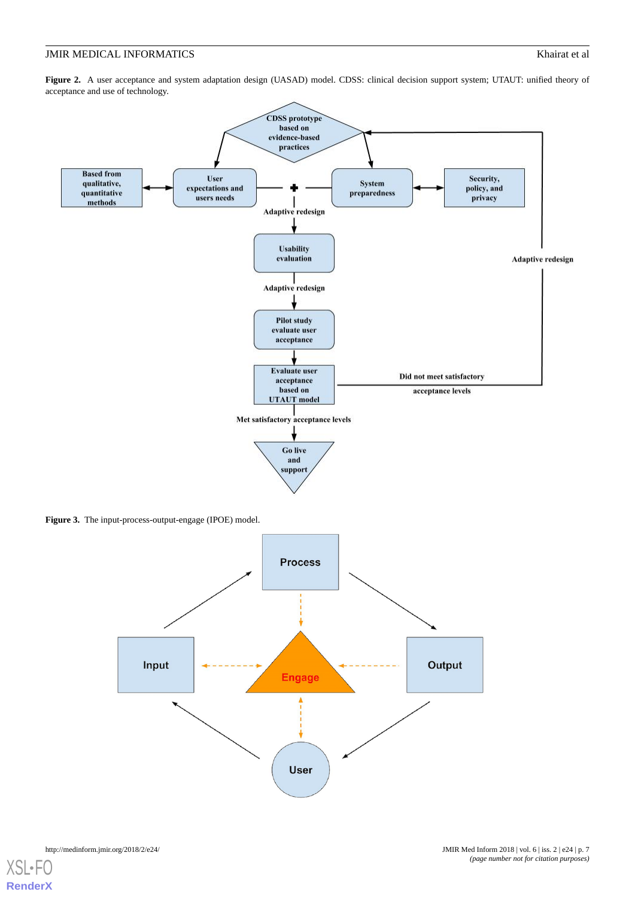<span id="page-6-0"></span>Figure 2. A user acceptance and system adaptation design (UASAD) model. CDSS: clinical decision support system; UTAUT: unified theory of acceptance and use of technology.



<span id="page-6-1"></span>**Figure 3.** The input-process-output-engage (IPOE) model.

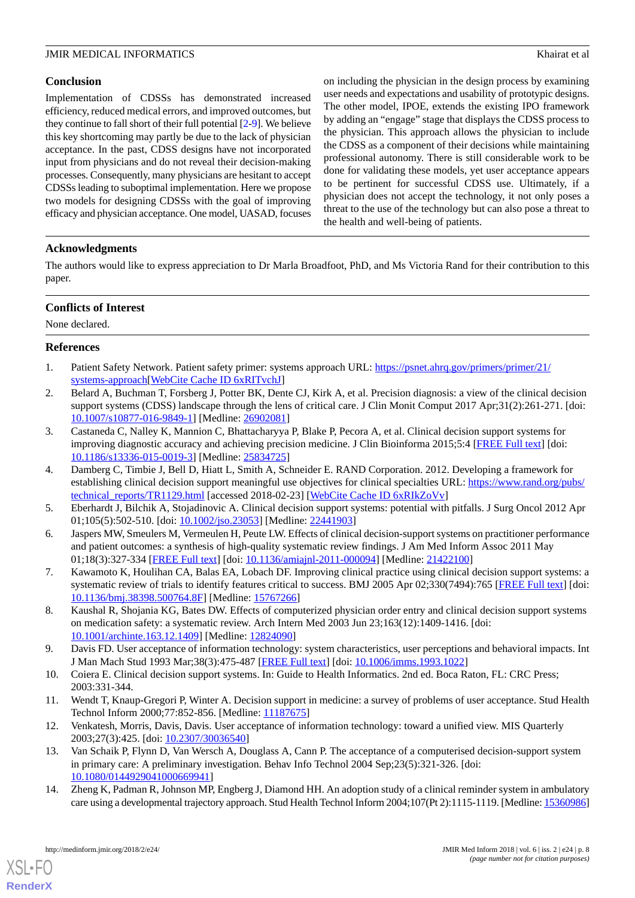# **Conclusion**

Implementation of CDSSs has demonstrated increased efficiency, reduced medical errors, and improved outcomes, but they continue to fall short of their full potential [\[2](#page-7-1)[-9](#page-7-2)]. We believe this key shortcoming may partly be due to the lack of physician acceptance. In the past, CDSS designs have not incorporated input from physicians and do not reveal their decision-making processes. Consequently, many physicians are hesitant to accept CDSSs leading to suboptimal implementation. Here we propose two models for designing CDSSs with the goal of improving efficacy and physician acceptance. One model, UASAD, focuses on including the physician in the design process by examining user needs and expectations and usability of prototypic designs. The other model, IPOE, extends the existing IPO framework by adding an "engage" stage that displays the CDSS process to the physician. This approach allows the physician to include the CDSS as a component of their decisions while maintaining professional autonomy. There is still considerable work to be done for validating these models, yet user acceptance appears to be pertinent for successful CDSS use. Ultimately, if a physician does not accept the technology, it not only poses a threat to the use of the technology but can also pose a threat to the health and well-being of patients.

# **Acknowledgments**

The authors would like to express appreciation to Dr Marla Broadfoot, PhD, and Ms Victoria Rand for their contribution to this paper.

# **Conflicts of Interest**

<span id="page-7-0"></span>None declared.

# <span id="page-7-1"></span>**References**

- 1. Patient Safety Network. Patient safety primer: systems approach URL: [https://psnet.ahrq.gov/primers/primer/21/](https://psnet.ahrq.gov/primers/primer/21/systems-approach) [systems-approach](https://psnet.ahrq.gov/primers/primer/21/systems-approach)[[WebCite Cache ID 6xRITvchJ\]](http://www.webcitation.org/

                                6xRITvchJ)
- 2. Belard A, Buchman T, Forsberg J, Potter BK, Dente CJ, Kirk A, et al. Precision diagnosis: a view of the clinical decision support systems (CDSS) landscape through the lens of critical care. J Clin Monit Comput 2017 Apr;31(2):261-271. [doi: [10.1007/s10877-016-9849-1\]](http://dx.doi.org/10.1007/s10877-016-9849-1) [Medline: [26902081](http://www.ncbi.nlm.nih.gov/entrez/query.fcgi?cmd=Retrieve&db=PubMed&list_uids=26902081&dopt=Abstract)]
- 3. Castaneda C, Nalley K, Mannion C, Bhattacharyya P, Blake P, Pecora A, et al. Clinical decision support systems for improving diagnostic accuracy and achieving precision medicine. J Clin Bioinforma 2015;5:4 [\[FREE Full text\]](https://jclinbioinformatics.biomedcentral.com/articles/10.1186/s13336-015-0019-3) [doi: [10.1186/s13336-015-0019-3\]](http://dx.doi.org/10.1186/s13336-015-0019-3) [Medline: [25834725](http://www.ncbi.nlm.nih.gov/entrez/query.fcgi?cmd=Retrieve&db=PubMed&list_uids=25834725&dopt=Abstract)]
- <span id="page-7-8"></span>4. Damberg C, Timbie J, Bell D, Hiatt L, Smith A, Schneider E. RAND Corporation. 2012. Developing a framework for establishing clinical decision support meaningful use objectives for clinical specialties URL: [https://www.rand.org/pubs/](https://www.rand.org/pubs/technical_reports/TR1129.html) [technical\\_reports/TR1129.html](https://www.rand.org/pubs/technical_reports/TR1129.html) [accessed 2018-02-23] [[WebCite Cache ID 6xRIkZoVv](http://www.webcitation.org/

                                6xRIkZoVv)]
- 5. Eberhardt J, Bilchik A, Stojadinovic A. Clinical decision support systems: potential with pitfalls. J Surg Oncol 2012 Apr 01;105(5):502-510. [doi: [10.1002/jso.23053\]](http://dx.doi.org/10.1002/jso.23053) [Medline: [22441903\]](http://www.ncbi.nlm.nih.gov/entrez/query.fcgi?cmd=Retrieve&db=PubMed&list_uids=22441903&dopt=Abstract)
- 6. Jaspers MW, Smeulers M, Vermeulen H, Peute LW. Effects of clinical decision-support systems on practitioner performance and patient outcomes: a synthesis of high-quality systematic review findings. J Am Med Inform Assoc 2011 May 01;18(3):327-334 [[FREE Full text](http://europepmc.org/abstract/MED/21422100)] [doi: [10.1136/amiajnl-2011-000094](http://dx.doi.org/10.1136/amiajnl-2011-000094)] [Medline: [21422100](http://www.ncbi.nlm.nih.gov/entrez/query.fcgi?cmd=Retrieve&db=PubMed&list_uids=21422100&dopt=Abstract)]
- <span id="page-7-2"></span>7. Kawamoto K, Houlihan CA, Balas EA, Lobach DF. Improving clinical practice using clinical decision support systems: a systematic review of trials to identify features critical to success. BMJ 2005 Apr 02;330(7494):765 [[FREE Full text](http://europepmc.org/abstract/MED/15767266)] [doi: [10.1136/bmj.38398.500764.8F](http://dx.doi.org/10.1136/bmj.38398.500764.8F)] [Medline: [15767266](http://www.ncbi.nlm.nih.gov/entrez/query.fcgi?cmd=Retrieve&db=PubMed&list_uids=15767266&dopt=Abstract)]
- <span id="page-7-3"></span>8. Kaushal R, Shojania KG, Bates DW. Effects of computerized physician order entry and clinical decision support systems on medication safety: a systematic review. Arch Intern Med 2003 Jun 23;163(12):1409-1416. [doi: [10.1001/archinte.163.12.1409](http://dx.doi.org/10.1001/archinte.163.12.1409)] [Medline: [12824090](http://www.ncbi.nlm.nih.gov/entrez/query.fcgi?cmd=Retrieve&db=PubMed&list_uids=12824090&dopt=Abstract)]
- <span id="page-7-5"></span><span id="page-7-4"></span>9. Davis FD. User acceptance of information technology: system characteristics, user perceptions and behavioral impacts. Int J Man Mach Stud 1993 Mar;38(3):475-487 [\[FREE Full text\]](https://doi.org/10.1006/imms.1993.1022) [doi: [10.1006/imms.1993.1022\]](http://dx.doi.org/10.1006/imms.1993.1022)
- <span id="page-7-6"></span>10. Coiera E. Clinical decision support systems. In: Guide to Health Informatics. 2nd ed. Boca Raton, FL: CRC Press; 2003:331-344.
- <span id="page-7-7"></span>11. Wendt T, Knaup-Gregori P, Winter A. Decision support in medicine: a survey of problems of user acceptance. Stud Health Technol Inform 2000;77:852-856. [Medline: [11187675](http://www.ncbi.nlm.nih.gov/entrez/query.fcgi?cmd=Retrieve&db=PubMed&list_uids=11187675&dopt=Abstract)]
- 12. Venkatesh, Morris, Davis, Davis. User acceptance of information technology: toward a unified view. MIS Quarterly 2003;27(3):425. [doi: [10.2307/30036540](http://dx.doi.org/10.2307/30036540)]
- 13. Van Schaik P, Flynn D, Van Wersch A, Douglass A, Cann P. The acceptance of a computerised decision-support system in primary care: A preliminary investigation. Behav Info Technol 2004 Sep;23(5):321-326. [doi: [10.1080/0144929041000669941\]](http://dx.doi.org/10.1080/0144929041000669941)
- 14. Zheng K, Padman R, Johnson MP, Engberg J, Diamond HH. An adoption study of a clinical reminder system in ambulatory care using a developmental trajectory approach. Stud Health Technol Inform 2004;107(Pt 2):1115-1119. [Medline: [15360986\]](http://www.ncbi.nlm.nih.gov/entrez/query.fcgi?cmd=Retrieve&db=PubMed&list_uids=15360986&dopt=Abstract)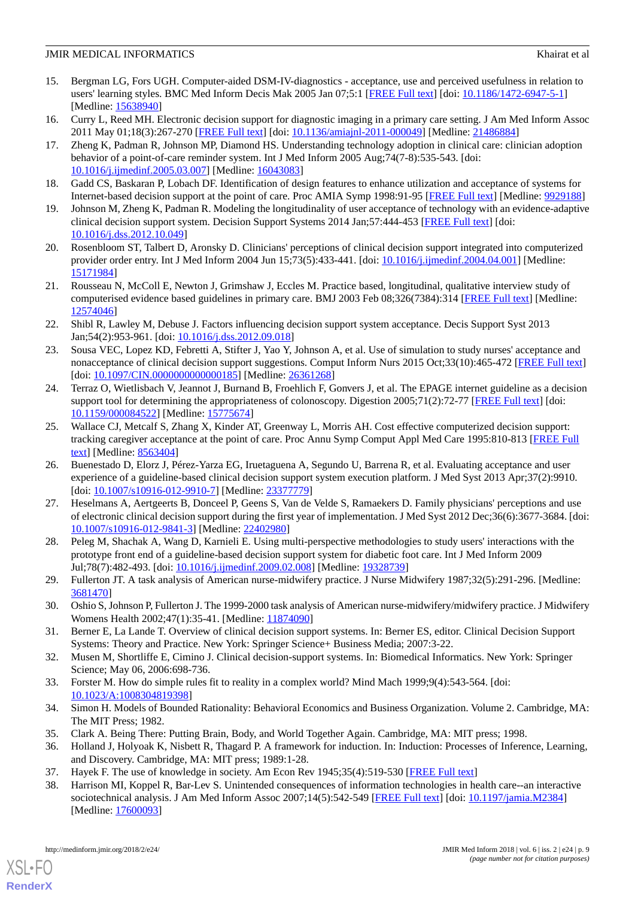- <span id="page-8-0"></span>15. Bergman LG, Fors UGH. Computer-aided DSM-IV-diagnostics - acceptance, use and perceived usefulness in relation to users' learning styles. BMC Med Inform Decis Mak 2005 Jan 07;5:1 [\[FREE Full text](https://bmcmedinformdecismak.biomedcentral.com/articles/10.1186/1472-6947-5-1)] [doi: [10.1186/1472-6947-5-1\]](http://dx.doi.org/10.1186/1472-6947-5-1) [Medline: [15638940](http://www.ncbi.nlm.nih.gov/entrez/query.fcgi?cmd=Retrieve&db=PubMed&list_uids=15638940&dopt=Abstract)]
- <span id="page-8-2"></span><span id="page-8-1"></span>16. Curry L, Reed MH. Electronic decision support for diagnostic imaging in a primary care setting. J Am Med Inform Assoc 2011 May 01;18(3):267-270 [\[FREE Full text\]](http://europepmc.org/abstract/MED/21486884) [doi: [10.1136/amiajnl-2011-000049\]](http://dx.doi.org/10.1136/amiajnl-2011-000049) [Medline: [21486884\]](http://www.ncbi.nlm.nih.gov/entrez/query.fcgi?cmd=Retrieve&db=PubMed&list_uids=21486884&dopt=Abstract)
- 17. Zheng K, Padman R, Johnson MP, Diamond HS. Understanding technology adoption in clinical care: clinician adoption behavior of a point-of-care reminder system. Int J Med Inform 2005 Aug;74(7-8):535-543. [doi: [10.1016/j.ijmedinf.2005.03.007\]](http://dx.doi.org/10.1016/j.ijmedinf.2005.03.007) [Medline: [16043083](http://www.ncbi.nlm.nih.gov/entrez/query.fcgi?cmd=Retrieve&db=PubMed&list_uids=16043083&dopt=Abstract)]
- <span id="page-8-4"></span><span id="page-8-3"></span>18. Gadd CS, Baskaran P, Lobach DF. Identification of design features to enhance utilization and acceptance of systems for Internet-based decision support at the point of care. Proc AMIA Symp 1998:91-95 [\[FREE Full text\]](http://europepmc.org/abstract/MED/9929188) [Medline: [9929188\]](http://www.ncbi.nlm.nih.gov/entrez/query.fcgi?cmd=Retrieve&db=PubMed&list_uids=9929188&dopt=Abstract)
- <span id="page-8-5"></span>19. Johnson M, Zheng K, Padman R. Modeling the longitudinality of user acceptance of technology with an evidence-adaptive clinical decision support system. Decision Support Systems 2014 Jan;57:444-453 [\[FREE Full text\]](https://doi.org/10.1016/j.dss.2012.10.049) [doi: [10.1016/j.dss.2012.10.049](http://dx.doi.org/10.1016/j.dss.2012.10.049)]
- <span id="page-8-6"></span>20. Rosenbloom ST, Talbert D, Aronsky D. Clinicians' perceptions of clinical decision support integrated into computerized provider order entry. Int J Med Inform 2004 Jun 15;73(5):433-441. [doi: [10.1016/j.ijmedinf.2004.04.001](http://dx.doi.org/10.1016/j.ijmedinf.2004.04.001)] [Medline: [15171984](http://www.ncbi.nlm.nih.gov/entrez/query.fcgi?cmd=Retrieve&db=PubMed&list_uids=15171984&dopt=Abstract)]
- <span id="page-8-7"></span>21. Rousseau N, McColl E, Newton J, Grimshaw J, Eccles M. Practice based, longitudinal, qualitative interview study of computerised evidence based guidelines in primary care. BMJ 2003 Feb 08;326(7384):314 [[FREE Full text](http://europepmc.org/abstract/MED/12574046)] [Medline: [12574046](http://www.ncbi.nlm.nih.gov/entrez/query.fcgi?cmd=Retrieve&db=PubMed&list_uids=12574046&dopt=Abstract)]
- <span id="page-8-8"></span>22. Shibl R, Lawley M, Debuse J. Factors influencing decision support system acceptance. Decis Support Syst 2013 Jan;54(2):953-961. [doi: [10.1016/j.dss.2012.09.018\]](http://dx.doi.org/10.1016/j.dss.2012.09.018)
- <span id="page-8-9"></span>23. Sousa VEC, Lopez KD, Febretti A, Stifter J, Yao Y, Johnson A, et al. Use of simulation to study nurses' acceptance and nonacceptance of clinical decision support suggestions. Comput Inform Nurs 2015 Oct;33(10):465-472 [[FREE Full text](http://europepmc.org/abstract/MED/26361268)] [doi: [10.1097/CIN.0000000000000185\]](http://dx.doi.org/10.1097/CIN.0000000000000185) [Medline: [26361268\]](http://www.ncbi.nlm.nih.gov/entrez/query.fcgi?cmd=Retrieve&db=PubMed&list_uids=26361268&dopt=Abstract)
- <span id="page-8-10"></span>24. Terraz O, Wietlisbach V, Jeannot J, Burnand B, Froehlich F, Gonvers J, et al. The EPAGE internet guideline as a decision support tool for determining the appropriateness of colonoscopy. Digestion 2005;71(2):72-77 [[FREE Full text\]](https://www.karger.com?DOI=10.1159/000084522) [doi: [10.1159/000084522\]](http://dx.doi.org/10.1159/000084522) [Medline: [15775674\]](http://www.ncbi.nlm.nih.gov/entrez/query.fcgi?cmd=Retrieve&db=PubMed&list_uids=15775674&dopt=Abstract)
- <span id="page-8-13"></span>25. Wallace CJ, Metcalf S, Zhang X, Kinder AT, Greenway L, Morris AH. Cost effective computerized decision support: tracking caregiver acceptance at the point of care. Proc Annu Symp Comput Appl Med Care 1995:810-813 [\[FREE Full](http://europepmc.org/abstract/MED/8563404) [text](http://europepmc.org/abstract/MED/8563404)] [Medline: [8563404](http://www.ncbi.nlm.nih.gov/entrez/query.fcgi?cmd=Retrieve&db=PubMed&list_uids=8563404&dopt=Abstract)]
- <span id="page-8-12"></span>26. Buenestado D, Elorz J, Pérez-Yarza EG, Iruetaguena A, Segundo U, Barrena R, et al. Evaluating acceptance and user experience of a guideline-based clinical decision support system execution platform. J Med Syst 2013 Apr;37(2):9910. [doi: [10.1007/s10916-012-9910-7](http://dx.doi.org/10.1007/s10916-012-9910-7)] [Medline: [23377779\]](http://www.ncbi.nlm.nih.gov/entrez/query.fcgi?cmd=Retrieve&db=PubMed&list_uids=23377779&dopt=Abstract)
- <span id="page-8-14"></span><span id="page-8-11"></span>27. Heselmans A, Aertgeerts B, Donceel P, Geens S, Van de Velde S, Ramaekers D. Family physicians' perceptions and use of electronic clinical decision support during the first year of implementation. J Med Syst 2012 Dec;36(6):3677-3684. [doi: [10.1007/s10916-012-9841-3\]](http://dx.doi.org/10.1007/s10916-012-9841-3) [Medline: [22402980](http://www.ncbi.nlm.nih.gov/entrez/query.fcgi?cmd=Retrieve&db=PubMed&list_uids=22402980&dopt=Abstract)]
- <span id="page-8-15"></span>28. Peleg M, Shachak A, Wang D, Karnieli E. Using multi-perspective methodologies to study users' interactions with the prototype front end of a guideline-based decision support system for diabetic foot care. Int J Med Inform 2009 Jul;78(7):482-493. [doi: [10.1016/j.ijmedinf.2009.02.008](http://dx.doi.org/10.1016/j.ijmedinf.2009.02.008)] [Medline: [19328739\]](http://www.ncbi.nlm.nih.gov/entrez/query.fcgi?cmd=Retrieve&db=PubMed&list_uids=19328739&dopt=Abstract)
- <span id="page-8-17"></span><span id="page-8-16"></span>29. Fullerton JT. A task analysis of American nurse-midwifery practice. J Nurse Midwifery 1987;32(5):291-296. [Medline: [3681470\]](http://www.ncbi.nlm.nih.gov/entrez/query.fcgi?cmd=Retrieve&db=PubMed&list_uids=3681470&dopt=Abstract)
- <span id="page-8-18"></span>30. Oshio S, Johnson P, Fullerton J. The 1999-2000 task analysis of American nurse-midwifery/midwifery practice. J Midwifery Womens Health 2002;47(1):35-41. [Medline: [11874090](http://www.ncbi.nlm.nih.gov/entrez/query.fcgi?cmd=Retrieve&db=PubMed&list_uids=11874090&dopt=Abstract)]
- <span id="page-8-19"></span>31. Berner E, La Lande T. Overview of clinical decision support systems. In: Berner ES, editor. Clinical Decision Support Systems: Theory and Practice. New York: Springer Science+ Business Media; 2007:3-22.
- <span id="page-8-20"></span>32. Musen M, Shortliffe E, Cimino J. Clinical decision-support systems. In: Biomedical Informatics. New York: Springer Science; May 06, 2006:698-736.
- <span id="page-8-21"></span>33. Forster M. How do simple rules fit to reality in a complex world? Mind Mach 1999;9(4):543-564. [doi: [10.1023/A:1008304819398\]](http://dx.doi.org/10.1023/A:1008304819398)
- <span id="page-8-23"></span><span id="page-8-22"></span>34. Simon H. Models of Bounded Rationality: Behavioral Economics and Business Organization. Volume 2. Cambridge, MA: The MIT Press; 1982.
- 35. Clark A. Being There: Putting Brain, Body, and World Together Again. Cambridge, MA: MIT press; 1998.
- 36. Holland J, Holyoak K, Nisbett R, Thagard P. A framework for induction. In: Induction: Processes of Inference, Learning, and Discovery. Cambridge, MA: MIT press; 1989:1-28.
- 37. Hayek F. The use of knowledge in society. Am Econ Rev 1945;35(4):519-530 [[FREE Full text](http://www.econlib.org/library/Essays/hykKnw1.html)]
- 38. Harrison MI, Koppel R, Bar-Lev S. Unintended consequences of information technologies in health care--an interactive sociotechnical analysis. J Am Med Inform Assoc 2007;14(5):542-549 [[FREE Full text](http://europepmc.org/abstract/MED/17600093)] [doi: [10.1197/jamia.M2384](http://dx.doi.org/10.1197/jamia.M2384)] [Medline: [17600093](http://www.ncbi.nlm.nih.gov/entrez/query.fcgi?cmd=Retrieve&db=PubMed&list_uids=17600093&dopt=Abstract)]